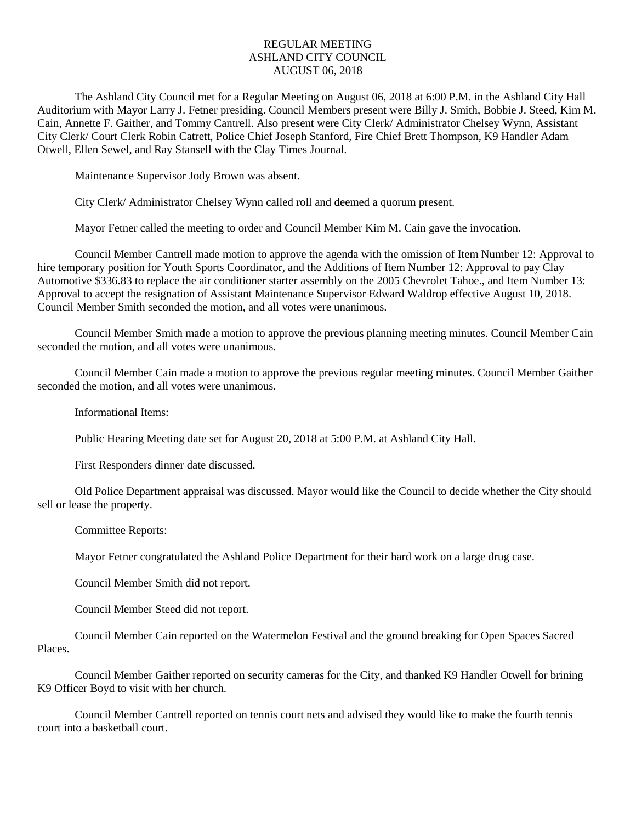## REGULAR MEETING ASHLAND CITY COUNCIL AUGUST 06, 2018

The Ashland City Council met for a Regular Meeting on August 06, 2018 at 6:00 P.M. in the Ashland City Hall Auditorium with Mayor Larry J. Fetner presiding. Council Members present were Billy J. Smith, Bobbie J. Steed, Kim M. Cain, Annette F. Gaither, and Tommy Cantrell. Also present were City Clerk/ Administrator Chelsey Wynn, Assistant City Clerk/ Court Clerk Robin Catrett, Police Chief Joseph Stanford, Fire Chief Brett Thompson, K9 Handler Adam Otwell, Ellen Sewel, and Ray Stansell with the Clay Times Journal.

Maintenance Supervisor Jody Brown was absent.

City Clerk/ Administrator Chelsey Wynn called roll and deemed a quorum present.

Mayor Fetner called the meeting to order and Council Member Kim M. Cain gave the invocation.

Council Member Cantrell made motion to approve the agenda with the omission of Item Number 12: Approval to hire temporary position for Youth Sports Coordinator, and the Additions of Item Number 12: Approval to pay Clay Automotive \$336.83 to replace the air conditioner starter assembly on the 2005 Chevrolet Tahoe., and Item Number 13: Approval to accept the resignation of Assistant Maintenance Supervisor Edward Waldrop effective August 10, 2018. Council Member Smith seconded the motion, and all votes were unanimous.

Council Member Smith made a motion to approve the previous planning meeting minutes. Council Member Cain seconded the motion, and all votes were unanimous.

Council Member Cain made a motion to approve the previous regular meeting minutes. Council Member Gaither seconded the motion, and all votes were unanimous.

Informational Items:

Public Hearing Meeting date set for August 20, 2018 at 5:00 P.M. at Ashland City Hall.

First Responders dinner date discussed.

Old Police Department appraisal was discussed. Mayor would like the Council to decide whether the City should sell or lease the property.

Committee Reports:

Mayor Fetner congratulated the Ashland Police Department for their hard work on a large drug case.

Council Member Smith did not report.

Council Member Steed did not report.

Council Member Cain reported on the Watermelon Festival and the ground breaking for Open Spaces Sacred Places.

Council Member Gaither reported on security cameras for the City, and thanked K9 Handler Otwell for brining K9 Officer Boyd to visit with her church.

Council Member Cantrell reported on tennis court nets and advised they would like to make the fourth tennis court into a basketball court.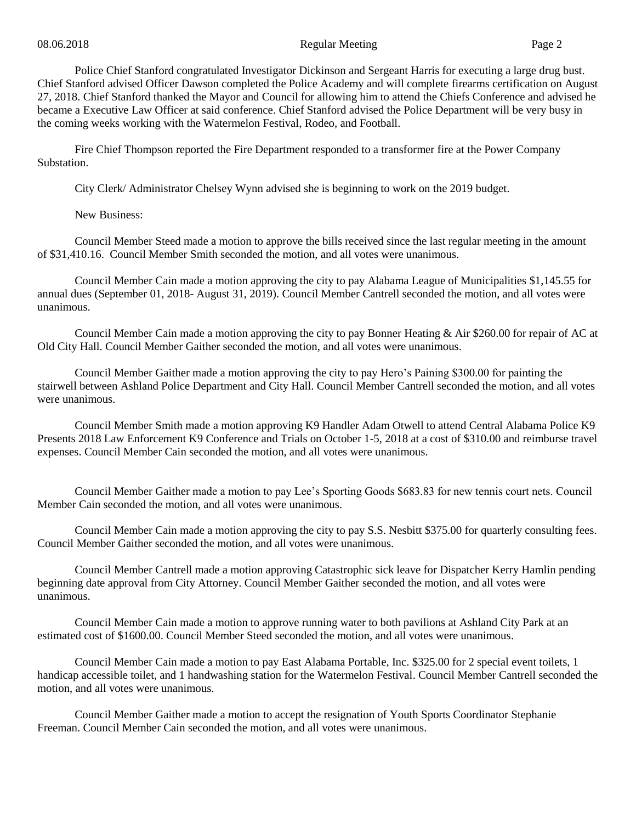Police Chief Stanford congratulated Investigator Dickinson and Sergeant Harris for executing a large drug bust. Chief Stanford advised Officer Dawson completed the Police Academy and will complete firearms certification on August 27, 2018. Chief Stanford thanked the Mayor and Council for allowing him to attend the Chiefs Conference and advised he became a Executive Law Officer at said conference. Chief Stanford advised the Police Department will be very busy in the coming weeks working with the Watermelon Festival, Rodeo, and Football.

Fire Chief Thompson reported the Fire Department responded to a transformer fire at the Power Company **Substation** 

City Clerk/ Administrator Chelsey Wynn advised she is beginning to work on the 2019 budget.

New Business:

Council Member Steed made a motion to approve the bills received since the last regular meeting in the amount of \$31,410.16. Council Member Smith seconded the motion, and all votes were unanimous.

Council Member Cain made a motion approving the city to pay Alabama League of Municipalities \$1,145.55 for annual dues (September 01, 2018- August 31, 2019). Council Member Cantrell seconded the motion, and all votes were unanimous.

Council Member Cain made a motion approving the city to pay Bonner Heating & Air \$260.00 for repair of AC at Old City Hall. Council Member Gaither seconded the motion, and all votes were unanimous.

Council Member Gaither made a motion approving the city to pay Hero's Paining \$300.00 for painting the stairwell between Ashland Police Department and City Hall. Council Member Cantrell seconded the motion, and all votes were unanimous.

Council Member Smith made a motion approving K9 Handler Adam Otwell to attend Central Alabama Police K9 Presents 2018 Law Enforcement K9 Conference and Trials on October 1-5, 2018 at a cost of \$310.00 and reimburse travel expenses. Council Member Cain seconded the motion, and all votes were unanimous.

Council Member Gaither made a motion to pay Lee's Sporting Goods \$683.83 for new tennis court nets. Council Member Cain seconded the motion, and all votes were unanimous.

Council Member Cain made a motion approving the city to pay S.S. Nesbitt \$375.00 for quarterly consulting fees. Council Member Gaither seconded the motion, and all votes were unanimous.

Council Member Cantrell made a motion approving Catastrophic sick leave for Dispatcher Kerry Hamlin pending beginning date approval from City Attorney. Council Member Gaither seconded the motion, and all votes were unanimous.

Council Member Cain made a motion to approve running water to both pavilions at Ashland City Park at an estimated cost of \$1600.00. Council Member Steed seconded the motion, and all votes were unanimous.

Council Member Cain made a motion to pay East Alabama Portable, Inc. \$325.00 for 2 special event toilets, 1 handicap accessible toilet, and 1 handwashing station for the Watermelon Festival. Council Member Cantrell seconded the motion, and all votes were unanimous.

Council Member Gaither made a motion to accept the resignation of Youth Sports Coordinator Stephanie Freeman. Council Member Cain seconded the motion, and all votes were unanimous.